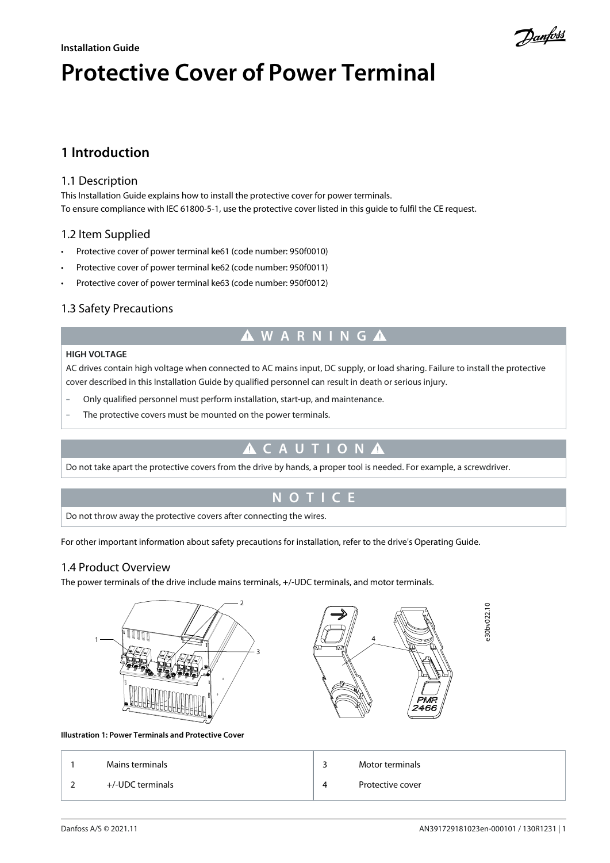

# **Protective Cover of Power Terminal**

## **1 Introduction**

#### 1.1 Description

This Installation Guide explains how to install the protective cover for power terminals. To ensure compliance with IEC 61800-5-1, use the protective cover listed in this guide to fulfil the CE request.

#### 1.2 Item Supplied

- Protective cover of power terminal ke61 (code number: 950f0010)
- Protective cover of power terminal ke62 (code number: 950f0011)
- Protective cover of power terminal ke63 (code number: 950f0012)

### 1.3 Safety Precautions

# **R N I N G A**

#### **HIGH VOLTAGE**

AC drives contain high voltage when connected to AC mains input, DC supply, or load sharing. Failure to install the protective cover described in this Installation Guide by qualified personnel can result in death or serious injury.

- Only qualified personnel must perform installation, start-up, and maintenance.
- The protective covers must be mounted on the power terminals.

# **A** C A U T I O N **A**

Do not take apart the protective covers from the drive by hands, a proper tool is needed. For example, a screwdriver.

# **N O T I C E**

Do not throw away the protective covers after connecting the wires.

For other important information about safety precautions for installation, refer to the drive's Operating Guide.

#### 1.4 Product Overview

The power terminals of the drive include mains terminals, +/-UDC terminals, and motor terminals.





**Illustration 1: Power Terminals and Protective Cover**

| Mains terminals  | Motor terminals  |
|------------------|------------------|
| +/-UDC terminals | Protective cover |

e30bv022.10